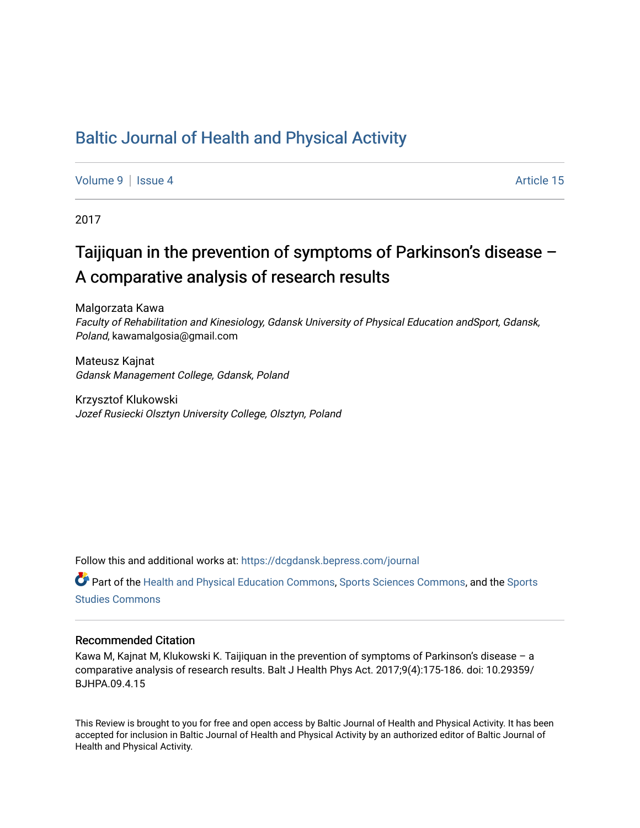## [Baltic Journal of Health and Physical Activity](https://dcgdansk.bepress.com/journal)

[Volume 9](https://dcgdansk.bepress.com/journal/vol9) | [Issue 4](https://dcgdansk.bepress.com/journal/vol9/iss4) Article 15

2017

# Taijiquan in the prevention of symptoms of Parkinson's disease – A comparative analysis of research results

Malgorzata Kawa Faculty of Rehabilitation and Kinesiology, Gdansk University of Physical Education andSport, Gdansk, Poland, kawamalgosia@gmail.com

Mateusz Kajnat Gdansk Management College, Gdansk, Poland

Krzysztof Klukowski Jozef Rusiecki Olsztyn University College, Olsztyn, Poland

Follow this and additional works at: [https://dcgdansk.bepress.com/journal](https://dcgdansk.bepress.com/journal?utm_source=dcgdansk.bepress.com%2Fjournal%2Fvol9%2Fiss4%2F15&utm_medium=PDF&utm_campaign=PDFCoverPages)

Part of the [Health and Physical Education Commons](http://network.bepress.com/hgg/discipline/1327?utm_source=dcgdansk.bepress.com%2Fjournal%2Fvol9%2Fiss4%2F15&utm_medium=PDF&utm_campaign=PDFCoverPages), [Sports Sciences Commons](http://network.bepress.com/hgg/discipline/759?utm_source=dcgdansk.bepress.com%2Fjournal%2Fvol9%2Fiss4%2F15&utm_medium=PDF&utm_campaign=PDFCoverPages), and the [Sports](http://network.bepress.com/hgg/discipline/1198?utm_source=dcgdansk.bepress.com%2Fjournal%2Fvol9%2Fiss4%2F15&utm_medium=PDF&utm_campaign=PDFCoverPages)  [Studies Commons](http://network.bepress.com/hgg/discipline/1198?utm_source=dcgdansk.bepress.com%2Fjournal%2Fvol9%2Fiss4%2F15&utm_medium=PDF&utm_campaign=PDFCoverPages) 

#### Recommended Citation

Kawa M, Kajnat M, Klukowski K. Taijiquan in the prevention of symptoms of Parkinson's disease – a comparative analysis of research results. Balt J Health Phys Act. 2017;9(4):175-186. doi: 10.29359/ BJHPA.09.4.15

This Review is brought to you for free and open access by Baltic Journal of Health and Physical Activity. It has been accepted for inclusion in Baltic Journal of Health and Physical Activity by an authorized editor of Baltic Journal of Health and Physical Activity.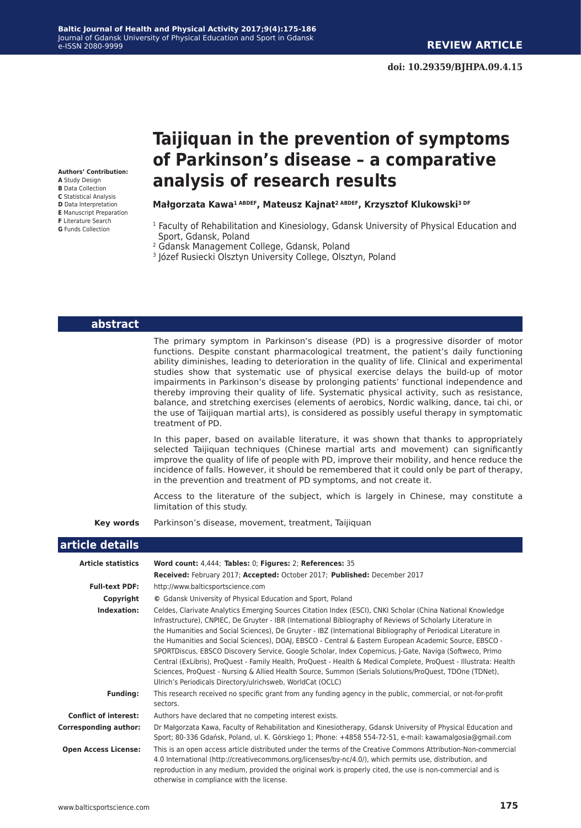**Authors' Contribution: A** Study Design **B** Data Collection **C** Statistical Analysis **D** Data Interpretation **E** Manuscript Preparation **F** Literature Search **G** Funds Collection

# **Taijiquan in the prevention of symptoms of Parkinson's disease – a comparative analysis of research results**

### **Małgorzata Kawa1 ABDEF, Mateusz Kajnat2 ABDEF, Krzysztof Klukowski3 DF**

- <sup>1</sup> Faculty of Rehabilitation and Kinesiology, Gdansk University of Physical Education and Sport, Gdansk, Poland
- 2 Gdansk Management College, Gdansk, Poland
- 3 Józef Rusiecki Olsztyn University College, Olsztyn, Poland

| abstract |  |  |
|----------|--|--|
|          |  |  |

The primary symptom in Parkinson's disease (PD) is a progressive disorder of motor functions. Despite constant pharmacological treatment, the patient's daily functioning ability diminishes, leading to deterioration in the quality of life. Clinical and experimental studies show that systematic use of physical exercise delays the build-up of motor impairments in Parkinson's disease by prolonging patients' functional independence and thereby improving their quality of life. Systematic physical activity, such as resistance, balance, and stretching exercises (elements of aerobics, Nordic walking, dance, tai chi, or the use of Taijiquan martial arts), is considered as possibly useful therapy in symptomatic treatment of PD.

 In this paper, based on available literature, it was shown that thanks to appropriately selected Taijiquan techniques (Chinese martial arts and movement) can significantly improve the quality of life of people with PD, improve their mobility, and hence reduce the incidence of falls. However, it should be remembered that it could only be part of therapy, in the prevention and treatment of PD symptoms, and not create it.

 Access to the literature of the subject, which is largely in Chinese, may constitute a limitation of this study.

**Key words** Parkinson's disease, movement, treatment, Taijiquan

#### **article details**

| <b>Article statistics</b>    | Word count: 4,444; Tables: 0; Figures: 2; References: 35                                                                                                                                                                                                                                                                                                                                                                                                                                                                                                                                                                                                                                                                                                                                                                                                      |
|------------------------------|---------------------------------------------------------------------------------------------------------------------------------------------------------------------------------------------------------------------------------------------------------------------------------------------------------------------------------------------------------------------------------------------------------------------------------------------------------------------------------------------------------------------------------------------------------------------------------------------------------------------------------------------------------------------------------------------------------------------------------------------------------------------------------------------------------------------------------------------------------------|
|                              | Received: February 2017; Accepted: October 2017; Published: December 2017                                                                                                                                                                                                                                                                                                                                                                                                                                                                                                                                                                                                                                                                                                                                                                                     |
| <b>Full-text PDF:</b>        | http://www.balticsportscience.com                                                                                                                                                                                                                                                                                                                                                                                                                                                                                                                                                                                                                                                                                                                                                                                                                             |
| Copyright                    | © Gdansk University of Physical Education and Sport, Poland                                                                                                                                                                                                                                                                                                                                                                                                                                                                                                                                                                                                                                                                                                                                                                                                   |
| Indexation:                  | Celdes, Clarivate Analytics Emerging Sources Citation Index (ESCI), CNKI Scholar (China National Knowledge<br>Infrastructure), CNPIEC, De Gruyter - IBR (International Bibliography of Reviews of Scholarly Literature in<br>the Humanities and Social Sciences), De Gruyter - IBZ (International Bibliography of Periodical Literature in<br>the Humanities and Social Sciences), DOAJ, EBSCO - Central & Eastern European Academic Source, EBSCO -<br>SPORTDiscus, EBSCO Discovery Service, Google Scholar, Index Copernicus, J-Gate, Naviga (Softweco, Primo<br>Central (ExLibris), ProQuest - Family Health, ProQuest - Health & Medical Complete, ProQuest - Illustrata: Health<br>Sciences, ProQuest - Nursing & Allied Health Source, Summon (Serials Solutions/ProQuest, TDOne (TDNet),<br>Ulrich's Periodicals Directory/ulrichsweb, WorldCat (OCLC) |
| <b>Funding:</b>              | This research received no specific grant from any funding agency in the public, commercial, or not-for-profit<br>sectors.                                                                                                                                                                                                                                                                                                                                                                                                                                                                                                                                                                                                                                                                                                                                     |
| <b>Conflict of interest:</b> | Authors have declared that no competing interest exists.                                                                                                                                                                                                                                                                                                                                                                                                                                                                                                                                                                                                                                                                                                                                                                                                      |
| <b>Corresponding author:</b> | Dr Małgorzata Kawa, Faculty of Rehabilitation and Kinesiotherapy, Gdansk University of Physical Education and<br>Sport; 80-336 Gdańsk, Poland, ul. K. Górskiego 1; Phone: +4858 554-72-51, e-mail: kawamalgosia@gmail.com                                                                                                                                                                                                                                                                                                                                                                                                                                                                                                                                                                                                                                     |
| <b>Open Access License:</b>  | This is an open access article distributed under the terms of the Creative Commons Attribution-Non-commercial<br>4.0 International (http://creativecommons.org/licenses/by-nc/4.0/), which permits use, distribution, and<br>reproduction in any medium, provided the original work is properly cited, the use is non-commercial and is<br>otherwise in compliance with the license.                                                                                                                                                                                                                                                                                                                                                                                                                                                                          |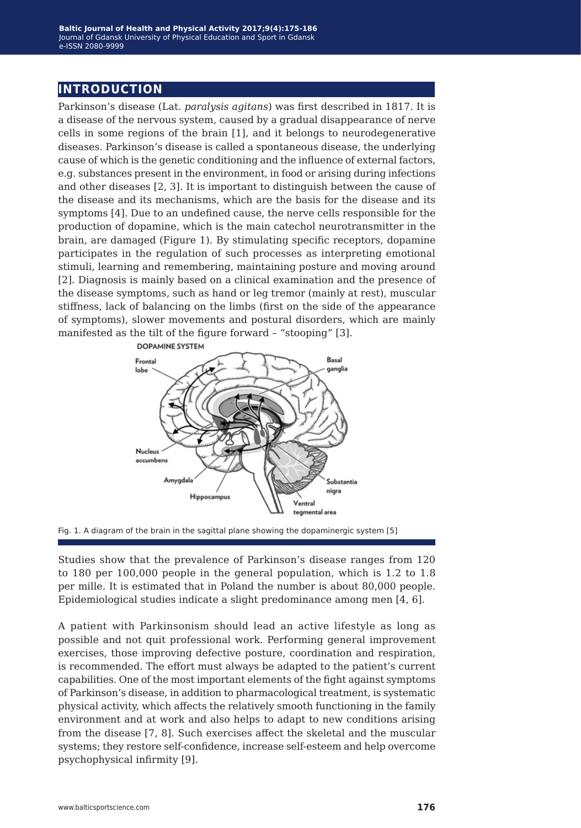### **introduction**

Parkinson's disease (Lat. *paralysis agitans*) was first described in 1817. It is a disease of the nervous system, caused by a gradual disappearance of nerve cells in some regions of the brain [1], and it belongs to neurodegenerative diseases. Parkinson's disease is called a spontaneous disease, the underlying cause of which is the genetic conditioning and the influence of external factors, e.g. substances present in the environment, in food or arising during infections and other diseases [2, 3]. It is important to distinguish between the cause of the disease and its mechanisms, which are the basis for the disease and its symptoms [4]. Due to an undefined cause, the nerve cells responsible for the production of dopamine, which is the main catechol neurotransmitter in the brain, are damaged (Figure 1). By stimulating specific receptors, dopamine participates in the regulation of such processes as interpreting emotional stimuli, learning and remembering, maintaining posture and moving around [2]. Diagnosis is mainly based on a clinical examination and the presence of the disease symptoms, such as hand or leg tremor (mainly at rest), muscular stiffness, lack of balancing on the limbs (first on the side of the appearance of symptoms), slower movements and postural disorders, which are mainly manifested as the tilt of the figure forward – "stooping" [3].





Studies show that the prevalence of Parkinson's disease ranges from 120 to 180 per 100,000 people in the general population, which is 1.2 to 1.8 per mille. It is estimated that in Poland the number is about 80,000 people. Epidemiological studies indicate a slight predominance among men [4, 6].

A patient with Parkinsonism should lead an active lifestyle as long as possible and not quit professional work. Performing general improvement exercises, those improving defective posture, coordination and respiration, is recommended. The effort must always be adapted to the patient's current capabilities. One of the most important elements of the fight against symptoms of Parkinson's disease, in addition to pharmacological treatment, is systematic physical activity, which affects the relatively smooth functioning in the family environment and at work and also helps to adapt to new conditions arising from the disease [7, 8]. Such exercises affect the skeletal and the muscular systems; they restore self-confidence, increase self-esteem and help overcome psychophysical infirmity [9].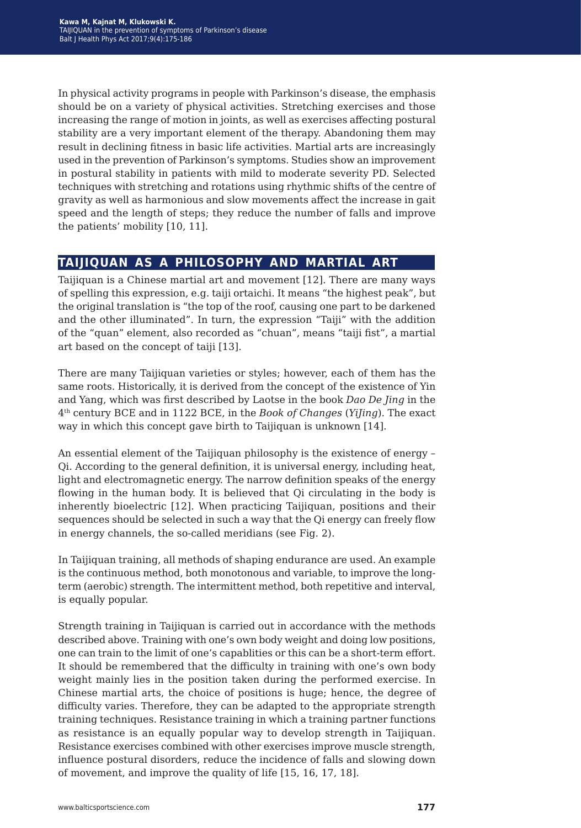In physical activity programs in people with Parkinson's disease, the emphasis should be on a variety of physical activities. Stretching exercises and those increasing the range of motion in joints, as well as exercises affecting postural stability are a very important element of the therapy. Abandoning them may result in declining fitness in basic life activities. Martial arts are increasingly used in the prevention of Parkinson's symptoms. Studies show an improvement in postural stability in patients with mild to moderate severity PD. Selected techniques with stretching and rotations using rhythmic shifts of the centre of gravity as well as harmonious and slow movements affect the increase in gait speed and the length of steps; they reduce the number of falls and improve the patients' mobility [10, 11].

## **taijiquan as a philosophy and martial art**

Taijiquan is a Chinese martial art and movement [12]. There are many ways of spelling this expression, e.g. taiji ortaichi. It means "the highest peak", but the original translation is "the top of the roof, causing one part to be darkened and the other illuminated". In turn, the expression "Taiji" with the addition of the "quan" element, also recorded as "chuan", means "taiji fist", a martial art based on the concept of taiji [13].

There are many Taijiquan varieties or styles; however, each of them has the same roots. Historically, it is derived from the concept of the existence of Yin and Yang, which was first described by Laotse in the book *Dao De Jing* in the 4th century BCE and in 1122 BCE, in the *Book of Changes* (*YiJing*). The exact way in which this concept gave birth to Taijiquan is unknown [14].

An essential element of the Taijiquan philosophy is the existence of energy – Qi. According to the general definition, it is universal energy, including heat, light and electromagnetic energy. The narrow definition speaks of the energy flowing in the human body. It is believed that Qi circulating in the body is inherently bioelectric [12]. When practicing Taijiquan, positions and their sequences should be selected in such a way that the Qi energy can freely flow in energy channels, the so-called meridians (see Fig. 2).

In Taijiquan training, all methods of shaping endurance are used. An example is the continuous method, both monotonous and variable, to improve the longterm (aerobic) strength. The intermittent method, both repetitive and interval, is equally popular.

Strength training in Taijiquan is carried out in accordance with the methods described above. Training with one's own body weight and doing low positions, one can train to the limit of one's capablities or this can be a short-term effort. It should be remembered that the difficulty in training with one's own body weight mainly lies in the position taken during the performed exercise. In Chinese martial arts, the choice of positions is huge; hence, the degree of difficulty varies. Therefore, they can be adapted to the appropriate strength training techniques. Resistance training in which a training partner functions as resistance is an equally popular way to develop strength in Taijiquan. Resistance exercises combined with other exercises improve muscle strength, influence postural disorders, reduce the incidence of falls and slowing down of movement, and improve the quality of life [15, 16, 17, 18].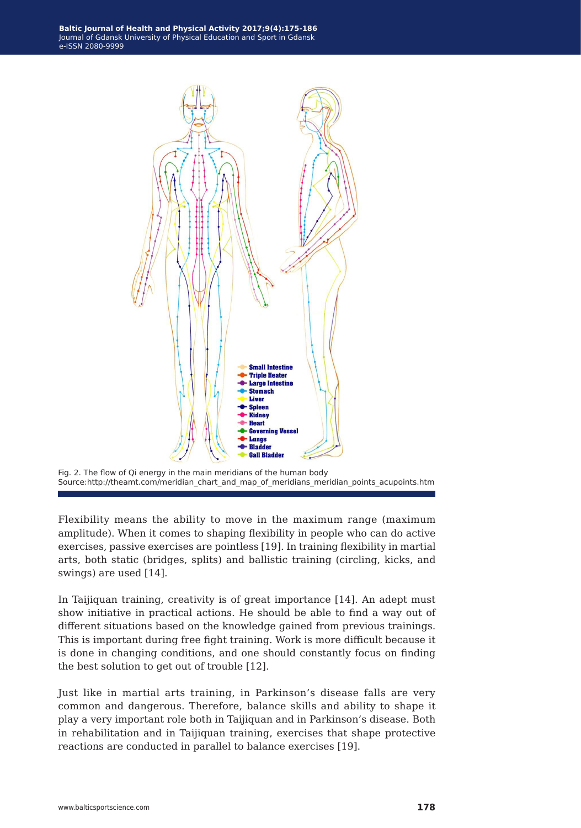



Flexibility means the ability to move in the maximum range (maximum amplitude). When it comes to shaping flexibility in people who can do active exercises, passive exercises are pointless [19]. In training flexibility in martial arts, both static (bridges, splits) and ballistic training (circling, kicks, and swings) are used [14].

In Taijiquan training, creativity is of great importance [14]. An adept must show initiative in practical actions. He should be able to find a way out of different situations based on the knowledge gained from previous trainings. This is important during free fight training. Work is more difficult because it is done in changing conditions, and one should constantly focus on finding the best solution to get out of trouble [12].

Just like in martial arts training, in Parkinson's disease falls are very common and dangerous. Therefore, balance skills and ability to shape it play a very important role both in Taijiquan and in Parkinson's disease. Both in rehabilitation and in Taijiquan training, exercises that shape protective reactions are conducted in parallel to balance exercises [19].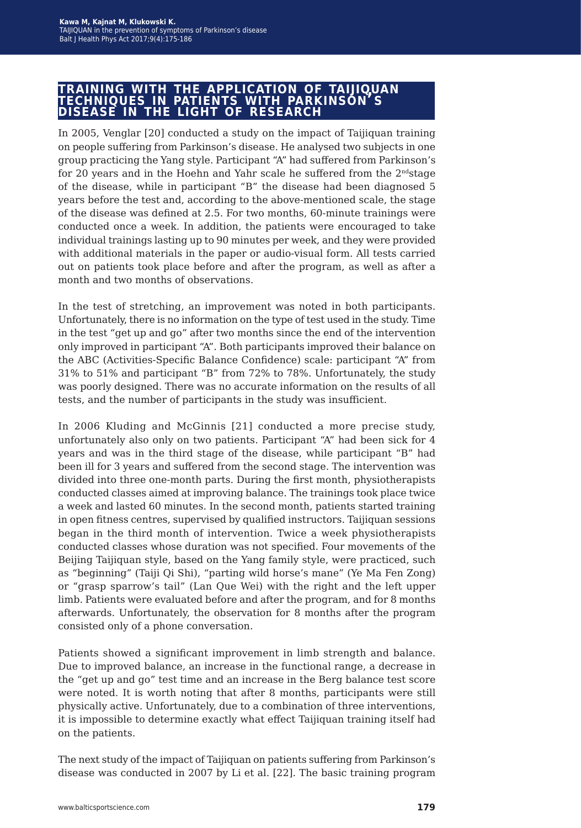## **training with the application of taijiquan techniques in patients with parkinson's disease in the light of research**

In 2005, Venglar [20] conducted a study on the impact of Taijiquan training on people suffering from Parkinson's disease. He analysed two subjects in one group practicing the Yang style. Participant "A" had suffered from Parkinson's for 20 years and in the Hoehn and Yahr scale he suffered from the  $2<sup>nd</sup>$ stage of the disease, while in participant "B" the disease had been diagnosed 5 years before the test and, according to the above-mentioned scale, the stage of the disease was defined at 2.5. For two months, 60-minute trainings were conducted once a week. In addition, the patients were encouraged to take individual trainings lasting up to 90 minutes per week, and they were provided with additional materials in the paper or audio-visual form. All tests carried out on patients took place before and after the program, as well as after a month and two months of observations.

In the test of stretching, an improvement was noted in both participants. Unfortunately, there is no information on the type of test used in the study. Time in the test "get up and go" after two months since the end of the intervention only improved in participant "A". Both participants improved their balance on the ABC (Activities-Specific Balance Confidence) scale: participant "A" from 31% to 51% and participant "B" from 72% to 78%. Unfortunately, the study was poorly designed. There was no accurate information on the results of all tests, and the number of participants in the study was insufficient.

In 2006 Kluding and McGinnis [21] conducted a more precise study, unfortunately also only on two patients. Participant "A" had been sick for 4 years and was in the third stage of the disease, while participant "B" had been ill for 3 years and suffered from the second stage. The intervention was divided into three one-month parts. During the first month, physiotherapists conducted classes aimed at improving balance. The trainings took place twice a week and lasted 60 minutes. In the second month, patients started training in open fitness centres, supervised by qualified instructors. Taijiquan sessions began in the third month of intervention. Twice a week physiotherapists conducted classes whose duration was not specified. Four movements of the Beijing Taijiquan style, based on the Yang family style, were practiced, such as "beginning" (Taiji Qi Shi), "parting wild horse's mane" (Ye Ma Fen Zong) or "grasp sparrow's tail" (Lan Que Wei) with the right and the left upper limb. Patients were evaluated before and after the program, and for 8 months afterwards. Unfortunately, the observation for 8 months after the program consisted only of a phone conversation.

Patients showed a significant improvement in limb strength and balance. Due to improved balance, an increase in the functional range, a decrease in the "get up and go" test time and an increase in the Berg balance test score were noted. It is worth noting that after 8 months, participants were still physically active. Unfortunately, due to a combination of three interventions, it is impossible to determine exactly what effect Taijiquan training itself had on the patients.

The next study of the impact of Taijiquan on patients suffering from Parkinson's disease was conducted in 2007 by Li et al. [22]. The basic training program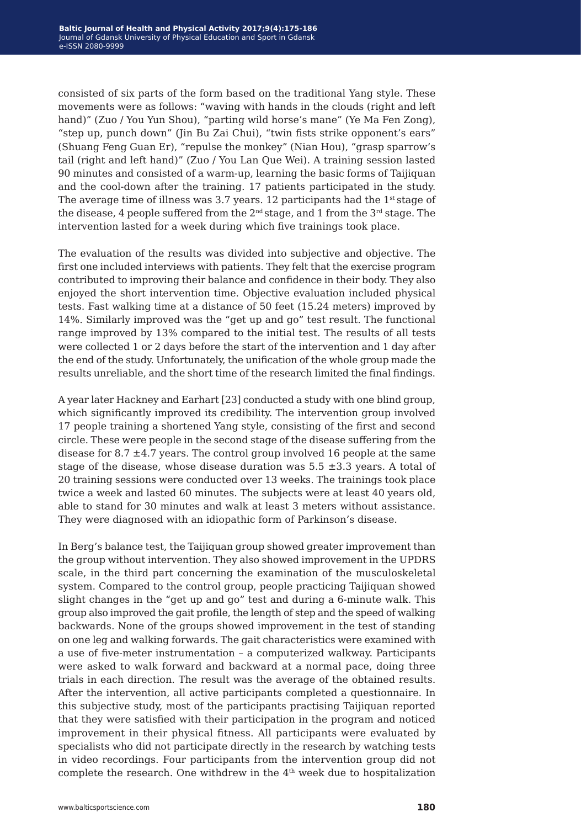consisted of six parts of the form based on the traditional Yang style. These movements were as follows: "waving with hands in the clouds (right and left hand)" (Zuo / You Yun Shou), "parting wild horse's mane" (Ye Ma Fen Zong), "step up, punch down" (Jin Bu Zai Chui), "twin fists strike opponent's ears" (Shuang Feng Guan Er), "repulse the monkey" (Nian Hou), "grasp sparrow's tail (right and left hand)" (Zuo / You Lan Que Wei). A training session lasted 90 minutes and consisted of a warm-up, learning the basic forms of Taijiquan and the cool-down after the training. 17 patients participated in the study. The average time of illness was 3.7 years. 12 participants had the  $1<sup>st</sup>$  stage of the disease, 4 people suffered from the  $2<sup>nd</sup>$  stage, and 1 from the  $3<sup>rd</sup>$  stage. The intervention lasted for a week during which five trainings took place.

The evaluation of the results was divided into subjective and objective. The first one included interviews with patients. They felt that the exercise program contributed to improving their balance and confidence in their body. They also enjoyed the short intervention time. Objective evaluation included physical tests. Fast walking time at a distance of 50 feet (15.24 meters) improved by 14%. Similarly improved was the "get up and go" test result. The functional range improved by 13% compared to the initial test. The results of all tests were collected 1 or 2 days before the start of the intervention and 1 day after the end of the study. Unfortunately, the unification of the whole group made the results unreliable, and the short time of the research limited the final findings.

A year later Hackney and Earhart [23] conducted a study with one blind group, which significantly improved its credibility. The intervention group involved 17 people training a shortened Yang style, consisting of the first and second circle. These were people in the second stage of the disease suffering from the disease for 8.7  $\pm$ 4.7 years. The control group involved 16 people at the same stage of the disease, whose disease duration was  $5.5 \pm 3.3$  years. A total of 20 training sessions were conducted over 13 weeks. The trainings took place twice a week and lasted 60 minutes. The subjects were at least 40 years old, able to stand for 30 minutes and walk at least 3 meters without assistance. They were diagnosed with an idiopathic form of Parkinson's disease.

In Berg's balance test, the Taijiquan group showed greater improvement than the group without intervention. They also showed improvement in the UPDRS scale, in the third part concerning the examination of the musculoskeletal system. Compared to the control group, people practicing Taijiquan showed slight changes in the "get up and go" test and during a 6-minute walk. This group also improved the gait profile, the length of step and the speed of walking backwards. None of the groups showed improvement in the test of standing on one leg and walking forwards. The gait characteristics were examined with a use of five-meter instrumentation – a computerized walkway. Participants were asked to walk forward and backward at a normal pace, doing three trials in each direction. The result was the average of the obtained results. After the intervention, all active participants completed a questionnaire. In this subjective study, most of the participants practising Taijiquan reported that they were satisfied with their participation in the program and noticed improvement in their physical fitness. All participants were evaluated by specialists who did not participate directly in the research by watching tests in video recordings. Four participants from the intervention group did not complete the research. One withdrew in the  $4<sup>th</sup>$  week due to hospitalization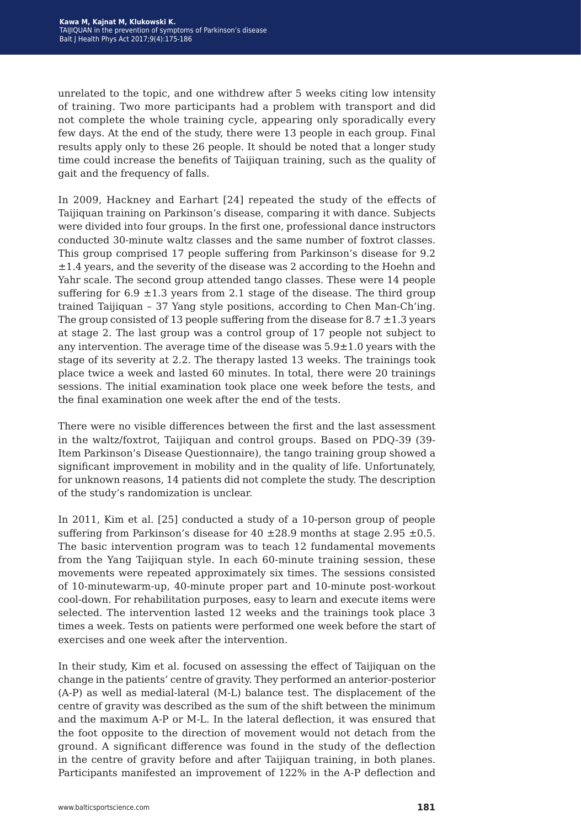unrelated to the topic, and one withdrew after 5 weeks citing low intensity of training. Two more participants had a problem with transport and did not complete the whole training cycle, appearing only sporadically every few days. At the end of the study, there were 13 people in each group. Final results apply only to these 26 people. It should be noted that a longer study time could increase the benefits of Taijiquan training, such as the quality of gait and the frequency of falls.

In 2009, Hackney and Earhart [24] repeated the study of the effects of Taijiquan training on Parkinson's disease, comparing it with dance. Subjects were divided into four groups. In the first one, professional dance instructors conducted 30-minute waltz classes and the same number of foxtrot classes. This group comprised 17 people suffering from Parkinson's disease for 9.2  $\pm 1.4$  years, and the severity of the disease was 2 according to the Hoehn and Yahr scale. The second group attended tango classes. These were 14 people suffering for  $6.9 \pm 1.3$  years from 2.1 stage of the disease. The third group trained Taijiquan – 37 Yang style positions, according to Chen Man-Ch'ing. The group consisted of 13 people suffering from the disease for  $8.7 \pm 1.3$  years at stage 2. The last group was a control group of 17 people not subject to any intervention. The average time of the disease was  $5.9\pm1.0$  years with the stage of its severity at 2.2. The therapy lasted 13 weeks. The trainings took place twice a week and lasted 60 minutes. In total, there were 20 trainings sessions. The initial examination took place one week before the tests, and the final examination one week after the end of the tests.

There were no visible differences between the first and the last assessment in the waltz/foxtrot, Taijiquan and control groups. Based on PDQ-39 (39- Item Parkinson's Disease Questionnaire), the tango training group showed a significant improvement in mobility and in the quality of life. Unfortunately, for unknown reasons, 14 patients did not complete the study. The description of the study's randomization is unclear.

In 2011, Kim et al. [25] conducted a study of a 10-person group of people suffering from Parkinson's disease for  $40 \pm 28.9$  months at stage 2.95  $\pm 0.5$ . The basic intervention program was to teach 12 fundamental movements from the Yang Taijiquan style. In each 60-minute training session, these movements were repeated approximately six times. The sessions consisted of 10-minutewarm-up, 40-minute proper part and 10-minute post-workout cool-down. For rehabilitation purposes, easy to learn and execute items were selected. The intervention lasted 12 weeks and the trainings took place 3 times a week. Tests on patients were performed one week before the start of exercises and one week after the intervention.

In their study, Kim et al. focused on assessing the effect of Taijiquan on the change in the patients' centre of gravity. They performed an anterior-posterior (A-P) as well as medial-lateral (M-L) balance test. The displacement of the centre of gravity was described as the sum of the shift between the minimum and the maximum A-P or M-L. In the lateral deflection, it was ensured that the foot opposite to the direction of movement would not detach from the ground. A significant difference was found in the study of the deflection in the centre of gravity before and after Taijiquan training, in both planes. Participants manifested an improvement of 122% in the A-P deflection and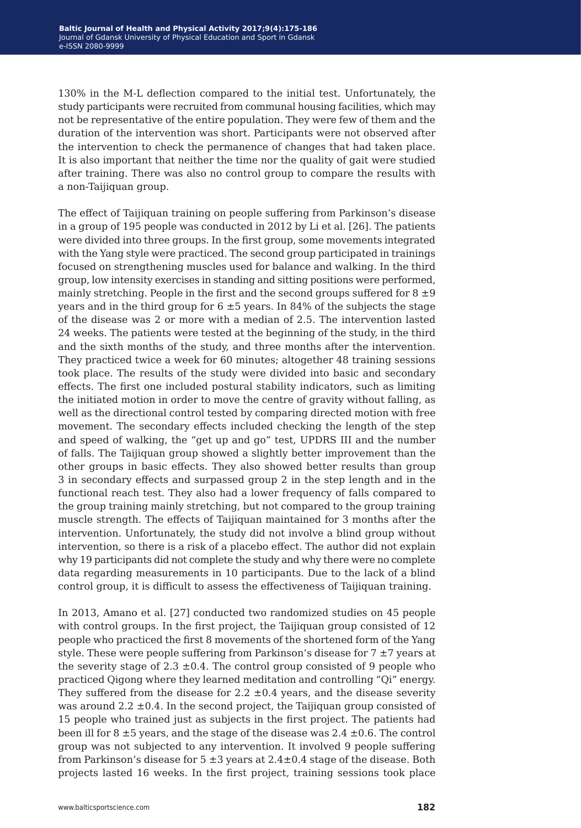130% in the M-L deflection compared to the initial test. Unfortunately, the study participants were recruited from communal housing facilities, which may not be representative of the entire population. They were few of them and the duration of the intervention was short. Participants were not observed after the intervention to check the permanence of changes that had taken place. It is also important that neither the time nor the quality of gait were studied after training. There was also no control group to compare the results with a non-Taijiquan group.

The effect of Taijiquan training on people suffering from Parkinson's disease in a group of 195 people was conducted in 2012 by Li et al. [26]. The patients were divided into three groups. In the first group, some movements integrated with the Yang style were practiced. The second group participated in trainings focused on strengthening muscles used for balance and walking. In the third group, low intensity exercises in standing and sitting positions were performed, mainly stretching. People in the first and the second groups suffered for  $8 \pm 9$ years and in the third group for  $6 \pm 5$  years. In 84% of the subjects the stage of the disease was 2 or more with a median of 2.5. The intervention lasted 24 weeks. The patients were tested at the beginning of the study, in the third and the sixth months of the study, and three months after the intervention. They practiced twice a week for 60 minutes; altogether 48 training sessions took place. The results of the study were divided into basic and secondary effects. The first one included postural stability indicators, such as limiting the initiated motion in order to move the centre of gravity without falling, as well as the directional control tested by comparing directed motion with free movement. The secondary effects included checking the length of the step and speed of walking, the "get up and go" test, UPDRS III and the number of falls. The Taijiquan group showed a slightly better improvement than the other groups in basic effects. They also showed better results than group 3 in secondary effects and surpassed group 2 in the step length and in the functional reach test. They also had a lower frequency of falls compared to the group training mainly stretching, but not compared to the group training muscle strength. The effects of Taijiquan maintained for 3 months after the intervention. Unfortunately, the study did not involve a blind group without intervention, so there is a risk of a placebo effect. The author did not explain why 19 participants did not complete the study and why there were no complete data regarding measurements in 10 participants. Due to the lack of a blind control group, it is difficult to assess the effectiveness of Taijiquan training.

In 2013, Amano et al. [27] conducted two randomized studies on 45 people with control groups. In the first project, the Taijiquan group consisted of 12 people who practiced the first 8 movements of the shortened form of the Yang style. These were people suffering from Parkinson's disease for  $7 \pm 7$  years at the severity stage of 2.3  $\pm$ 0.4. The control group consisted of 9 people who practiced Qigong where they learned meditation and controlling "Qi" energy. They suffered from the disease for 2.2  $\pm$ 0.4 years, and the disease severity was around 2.2  $\pm$ 0.4. In the second project, the Taijiquan group consisted of 15 people who trained just as subjects in the first project. The patients had been ill for  $8 \pm 5$  years, and the stage of the disease was  $2.4 \pm 0.6$ . The control group was not subjected to any intervention. It involved 9 people suffering from Parkinson's disease for  $5 \pm 3$  years at  $2.4 \pm 0.4$  stage of the disease. Both projects lasted 16 weeks. In the first project, training sessions took place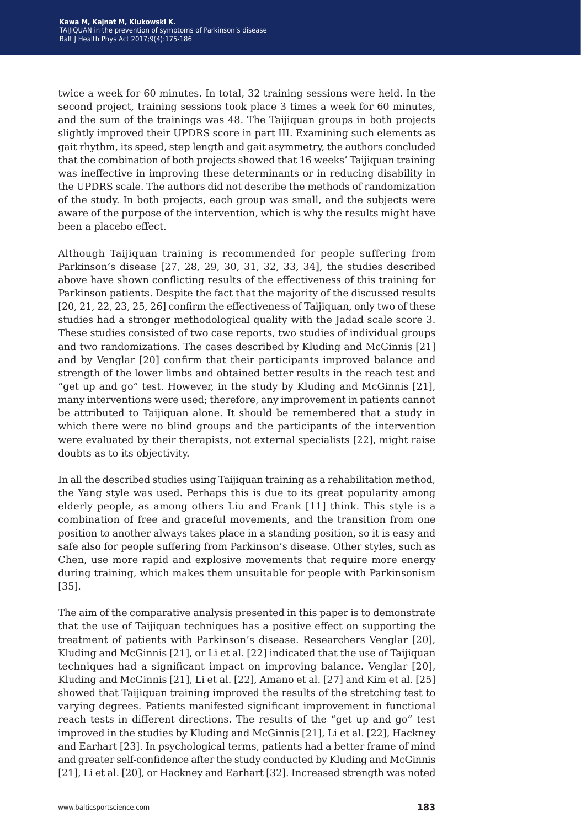twice a week for 60 minutes. In total, 32 training sessions were held. In the second project, training sessions took place 3 times a week for 60 minutes, and the sum of the trainings was 48. The Taijiquan groups in both projects slightly improved their UPDRS score in part III. Examining such elements as gait rhythm, its speed, step length and gait asymmetry, the authors concluded that the combination of both projects showed that 16 weeks' Taijiquan training was ineffective in improving these determinants or in reducing disability in the UPDRS scale. The authors did not describe the methods of randomization of the study. In both projects, each group was small, and the subjects were aware of the purpose of the intervention, which is why the results might have been a placebo effect.

Although Taijiquan training is recommended for people suffering from Parkinson's disease [27, 28, 29, 30, 31, 32, 33, 34], the studies described above have shown conflicting results of the effectiveness of this training for Parkinson patients. Despite the fact that the majority of the discussed results [20, 21, 22, 23, 25, 26] confirm the effectiveness of Taijiquan, only two of these studies had a stronger methodological quality with the Jadad scale score 3. These studies consisted of two case reports, two studies of individual groups and two randomizations. The cases described by Kluding and McGinnis [21] and by Venglar [20] confirm that their participants improved balance and strength of the lower limbs and obtained better results in the reach test and "get up and go" test. However, in the study by Kluding and McGinnis [21], many interventions were used; therefore, any improvement in patients cannot be attributed to Taijiquan alone. It should be remembered that a study in which there were no blind groups and the participants of the intervention were evaluated by their therapists, not external specialists [22], might raise doubts as to its objectivity.

In all the described studies using Taijiquan training as a rehabilitation method, the Yang style was used. Perhaps this is due to its great popularity among elderly people, as among others Liu and Frank [11] think. This style is a combination of free and graceful movements, and the transition from one position to another always takes place in a standing position, so it is easy and safe also for people suffering from Parkinson's disease. Other styles, such as Chen, use more rapid and explosive movements that require more energy during training, which makes them unsuitable for people with Parkinsonism [35].

The aim of the comparative analysis presented in this paper is to demonstrate that the use of Taijiquan techniques has a positive effect on supporting the treatment of patients with Parkinson's disease. Researchers Venglar [20], Kluding and McGinnis [21], or Li et al. [22] indicated that the use of Taijiquan techniques had a significant impact on improving balance. Venglar [20], Kluding and McGinnis [21], Li et al. [22], Amano et al. [27] and Kim et al. [25] showed that Taijiquan training improved the results of the stretching test to varying degrees. Patients manifested significant improvement in functional reach tests in different directions. The results of the "get up and go" test improved in the studies by Kluding and McGinnis [21], Li et al. [22], Hackney and Earhart [23]. In psychological terms, patients had a better frame of mind and greater self-confidence after the study conducted by Kluding and McGinnis [21], Li et al. [20], or Hackney and Earhart [32]. Increased strength was noted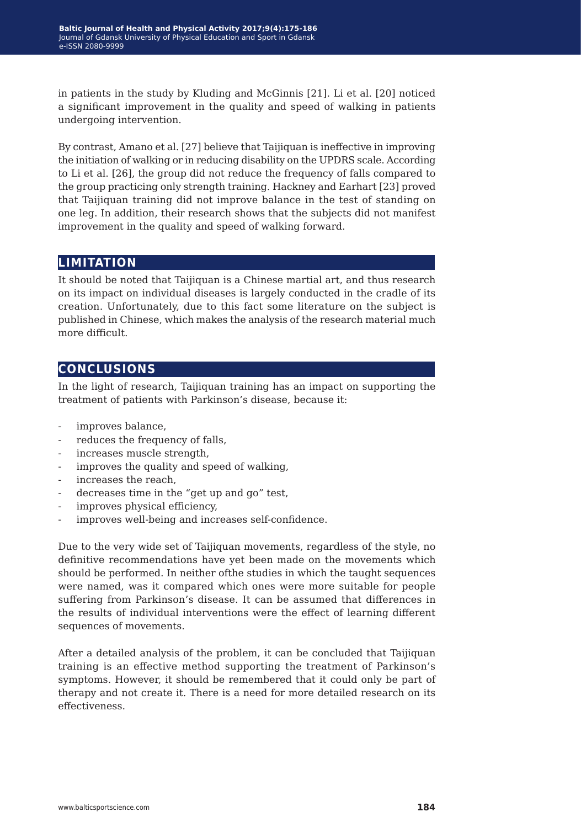in patients in the study by Kluding and McGinnis [21]. Li et al. [20] noticed a significant improvement in the quality and speed of walking in patients undergoing intervention.

By contrast, Amano et al. [27] believe that Taijiquan is ineffective in improving the initiation of walking or in reducing disability on the UPDRS scale. According to Li et al. [26], the group did not reduce the frequency of falls compared to the group practicing only strength training. Hackney and Earhart [23] proved that Taijiquan training did not improve balance in the test of standing on one leg. In addition, their research shows that the subjects did not manifest improvement in the quality and speed of walking forward.

### **limitation**

It should be noted that Taijiquan is a Chinese martial art, and thus research on its impact on individual diseases is largely conducted in the cradle of its creation. Unfortunately, due to this fact some literature on the subject is published in Chinese, which makes the analysis of the research material much more difficult.

## **conclusions**

In the light of research, Taijiquan training has an impact on supporting the treatment of patients with Parkinson's disease, because it:

- improves balance,
- reduces the frequency of falls,
- increases muscle strength,
- improves the quality and speed of walking,
- increases the reach,
- decreases time in the "get up and go" test,
- improves physical efficiency,
- improves well-being and increases self-confidence.

Due to the very wide set of Taijiquan movements, regardless of the style, no definitive recommendations have yet been made on the movements which should be performed. In neither ofthe studies in which the taught sequences were named, was it compared which ones were more suitable for people suffering from Parkinson's disease. It can be assumed that differences in the results of individual interventions were the effect of learning different sequences of movements.

After a detailed analysis of the problem, it can be concluded that Taijiquan training is an effective method supporting the treatment of Parkinson's symptoms. However, it should be remembered that it could only be part of therapy and not create it. There is a need for more detailed research on its effectiveness.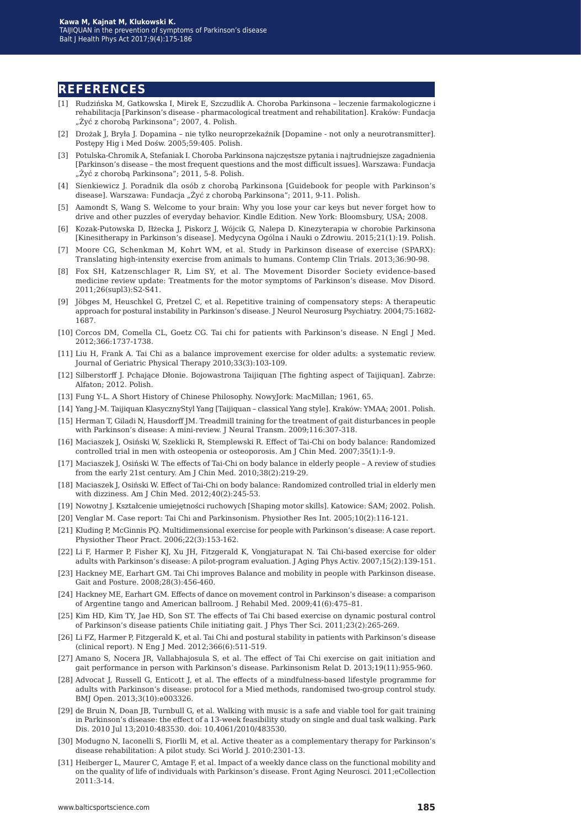### **references**

- [1] Rudzińska M, Gatkowska I, Mirek E, Szczudlik A. Choroba Parkinsona leczenie farmakologiczne i rehabilitacja [Parkinson's disease - pharmacological treatment and rehabilitation]. Kraków: Fundacja "Żyć z chorobą Parkinsona"; 2007, 4. Polish.
- [2] Drożak J, Bryła J. Dopamina nie tylko neuroprzekaźnik [Dopamine not only a neurotransmitter]. Postępy Hig i Med Dośw. 2005;59:405. Polish.
- [3] Potulska-Chromik A, Stefaniak I. Choroba Parkinsona najczęstsze pytania i najtrudniejsze zagadnienia [Parkinson's disease – the most frequent questions and the most difficult issues]. Warszawa: Fundacja "Żyć z chorobą Parkinsona"; 2011, 5-8. Polish.
- [4] Sienkiewicz J. Poradnik dla osób z chorobą Parkinsona [Guidebook for people with Parkinson's disease]. Warszawa: Fundacja "Żyć z chorobą Parkinsona"; 2011, 9-11. Polish.
- [5] Aamondt S, Wang S. Welcome to your brain: Why you lose your car keys but never forget how to drive and other puzzles of everyday behavior. Kindle Edition. New York: Bloomsbury, USA; 2008.
- [6] Kozak-Putowska D, Iłżecka J, Piskorz J, Wójcik G, Nalepa D. Kinezyterapia w chorobie Parkinsona [Kinesitherapy in Parkinson's disease]. Medycyna Ogólna i Nauki o Zdrowiu. 2015;21(1):19. Polish.
- [7] Moore CG, Schenkman M, Kohrt WM, et al. Study in Parkinson disease of exercise (SPARX): Translating high-intensity exercise from animals to humans. Contemp Clin Trials. 2013;36:90-98.
- [8] Fox SH, Katzenschlager R, Lim SY, et al. The Movement Disorder Society evidence-based medicine review update: Treatments for the motor symptoms of Parkinson's disease. Mov Disord. 2011;26(supl3):S2-S41.
- [9] Jöbges M, Heuschkel G, Pretzel C, et al. Repetitive training of compensatory steps: A therapeutic approach for postural instability in Parkinson's disease. J Neurol Neurosurg Psychiatry. 2004;75:1682- 1687.
- [10] Corcos DM, Comella CL, Goetz CG. Tai chi for patients with Parkinson's disease. N Engl J Med. 2012;366:1737-1738.
- [11] Liu H, Frank A. Tai Chi as a balance improvement exercise for older adults: a systematic review. Journal of Geriatric Physical Therapy 2010;33(3):103-109.
- [12] Silberstorff J. Pchające Dłonie. Bojowastrona Taijiquan [The fighting aspect of Taijiquan]. Zabrze: Alfaton; 2012. Polish.
- [13] Fung Y-L. A Short History of Chinese Philosophy. NowyJork: MacMillan; 1961, 65.
- [14] Yang J-M. Taijiquan KlasycznyStyl Yang [Taijiquan classical Yang style]. Kraków: YMAA; 2001. Polish.
- [15] Herman T, Giladi N, Hausdorff JM. Treadmill training for the treatment of gait disturbances in people with Parkinson's disease: A mini-review. J Neural Transm. 2009;116:307-318.
- [16] Maciaszek J, Osiński W, Szeklicki R, Stemplewski R. Effect of Tai-Chi on body balance: Randomized controlled trial in men with osteopenia or osteoporosis. Am J Chin Med. 2007;35(1):1-9.
- [17] Maciaszek J, Osiński W. The effects of Tai-Chi on body balance in elderly people A review of studies from the early 21st century. Am J Chin Med. 2010;38(2):219-29.
- [18] Maciaszek J, Osiński W. Effect of Tai-Chi on body balance: Randomized controlled trial in elderly men with dizziness. Am J Chin Med. 2012;40(2):245-53.
- [19] Nowotny J. Kształcenie umiejętności ruchowych [Shaping motor skills]. Katowice: ŚAM; 2002. Polish.
- [20] Venglar M. Case report: Tai Chi and Parkinsonism. Physiother Res Int. 2005;10(2):116-121.
- [21] Kluding P, McGinnis PQ. Multidimensional exercise for people with Parkinson's disease: A case report. Physiother Theor Pract. 2006;22(3):153-162.
- [22] Li F, Harmer P, Fisher KJ, Xu JH, Fitzgerald K, Vongjaturapat N. Tai Chi-based exercise for older adults with Parkinson's disease: A pilot-program evaluation. J Aging Phys Activ. 2007;15(2):139-151.
- [23] Hackney ME, Earhart GM. Tai Chi improves Balance and mobility in people with Parkinson disease. Gait and Posture. 2008;28(3):456-460.
- [24] Hackney ME, Earhart GM. Effects of dance on movement control in Parkinson's disease: a comparison of Argentine tango and American ballroom. J Rehabil Med. 2009;41(6):475–81.
- [25] Kim HD, Kim TY, Jae HD, Son ST. The effects of Tai Chi based exercise on dynamic postural control of Parkinson's disease patients Chile initiating gait. J Phys Ther Sci. 2011;23(2):265-269.
- [26] Li FZ, Harmer P, Fitzgerald K, et al. Tai Chi and postural stability in patients with Parkinson's disease (clinical report). N Eng J Med. 2012;366(6):511-519.
- [27] Amano S, Nocera JR, Vallabhajosula S, et al. The effect of Tai Chi exercise on gait initiation and gait performance in person with Parkinson's disease. Parkinsonism Relat D. 2013;19(11):955-960.
- [28] Advocat J, Russell G, Enticott J, et al. The effects of a mindfulness-based lifestyle programme for adults with Parkinson's disease: protocol for a Mied methods, randomised two-group control study. BMJ Open. 2013;3(10):e003326.
- [29] de Bruin N, Doan JB, Turnbull G, et al. Walking with music is a safe and viable tool for gait training in Parkinson's disease: the effect of a 13-week feasibility study on single and dual task walking. Park Dis. 2010 Jul 13;2010:483530. doi: 10.4061/2010/483530.
- [30] Modugno N, Iaconelli S, Fiorlli M, et al. Active theater as a complementary therapy for Parkinson's disease rehabilitation: A pilot study. Sci World J. 2010:2301-13.
- [31] Heiberger L, Maurer C, Amtage F, et al. Impact of a weekly dance class on the functional mobility and on the quality of life of individuals with Parkinson's disease. Front Aging Neurosci. 2011;eCollection 2011:3-14.